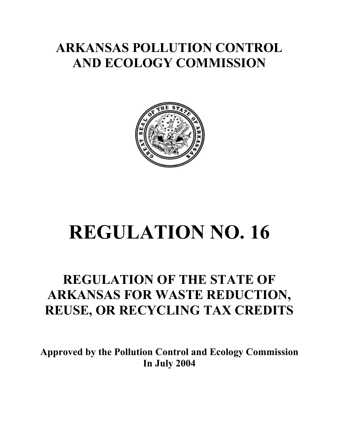## **ARKANSAS POLLUTION CONTROL AND ECOLOGY COMMISSION**



# **REGULATION NO. 16**

## **REGULATION OF THE STATE OF ARKANSAS FOR WASTE REDUCTION, REUSE, OR RECYCLING TAX CREDITS**

**Approved by the Pollution Control and Ecology Commission In July 2004**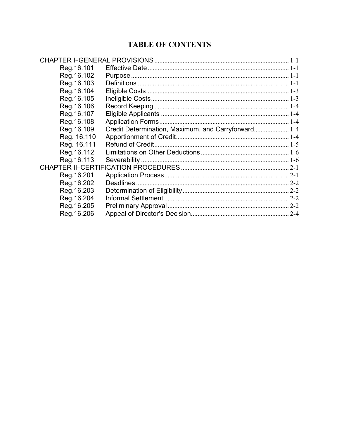#### **TABLE OF CONTENTS**

| Reg. 16.101 |                                                     |         |
|-------------|-----------------------------------------------------|---------|
| Reg. 16.102 |                                                     |         |
| Reg. 16.103 |                                                     |         |
| Reg. 16.104 |                                                     |         |
| Reg. 16.105 |                                                     |         |
| Reg. 16.106 |                                                     |         |
| Reg. 16.107 |                                                     |         |
| Reg. 16.108 |                                                     |         |
| Reg. 16.109 | Credit Determination, Maximum, and Carryforward 1-4 |         |
| Reg. 16.110 |                                                     |         |
| Reg. 16.111 |                                                     |         |
| Reg. 16.112 |                                                     |         |
| Reg. 16.113 |                                                     |         |
|             |                                                     |         |
| Reg. 16.201 |                                                     |         |
| Reg. 16.202 |                                                     |         |
| Reg. 16.203 |                                                     |         |
| Reg. 16.204 |                                                     |         |
| Reg. 16.205 |                                                     |         |
| Reg. 16.206 |                                                     | $2 - 4$ |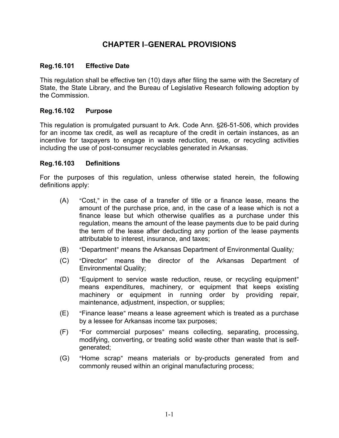#### **CHAPTER I-GENERAL PROVISIONS**

#### **Reg.16.101 Effective Date**

This regulation shall be effective ten (10) days after filing the same with the Secretary of State, the State Library, and the Bureau of Legislative Research following adoption by the Commission.

#### **Reg.16.102 Purpose**

This regulation is promulgated pursuant to Ark. Code Ann. \$26-51-506, which provides for an income tax credit, as well as recapture of the credit in certain instances, as an incentive for taxpayers to engage in waste reduction, reuse, or recycling activities including the use of post-consumer recyclables generated in Arkansas.

#### **Reg.16.103 Definitions**

For the purposes of this regulation, unless otherwise stated herein, the following definitions apply:

- $(A)$  "Cost," in the case of a transfer of title or a finance lease, means the amount of the purchase price, and, in the case of a lease which is not a finance lease but which otherwise qualifies as a purchase under this regulation, means the amount of the lease payments due to be paid during the term of the lease after deducting any portion of the lease payments attributable to interest, insurance, and taxes;
- (B) "Department" means the Arkansas Department of Environmental Quality;
- (C) "Director" means the director of the Arkansas Department of Environmental Quality;
- (D) "Equipment to service waste reduction, reuse, or recycling equipment" means expenditures, machinery, or equipment that keeps existing machinery or equipment in running order by providing repair, maintenance, adjustment, inspection, or supplies;
- (E) "Finance lease" means a lease agreement which is treated as a purchase by a lessee for Arkansas income tax purposes;
- (F) "For commercial purposes" means collecting, separating, processing, modifying, converting, or treating solid waste other than waste that is selfgenerated;
- (G) "Home scrap" means materials or by-products generated from and commonly reused within an original manufacturing process;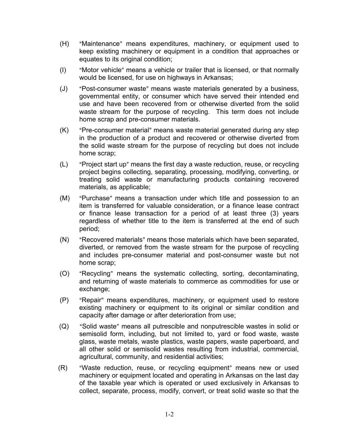- (H) "Maintenance" means expenditures, machinery, or equipment used to keep existing machinery or equipment in a condition that approaches or equates to its original condition;
- (I) "Motor vehicle" means a vehicle or trailer that is licensed, or that normally would be licensed, for use on highways in Arkansas;
- (J) "Post-consumer waste" means waste materials generated by a business, governmental entity, or consumer which have served their intended end use and have been recovered from or otherwise diverted from the solid waste stream for the purpose of recycling. This term does not include home scrap and pre-consumer materials.
- (K) "Pre-consumer material" means waste material generated during any step in the production of a product and recovered or otherwise diverted from the solid waste stream for the purpose of recycling but does not include home scrap;
- $(L)$  "Project start up" means the first day a waste reduction, reuse, or recycling project begins collecting, separating, processing, modifying, converting, or treating solid waste or manufacturing products containing recovered materials, as applicable;
- (M) "Purchase" means a transaction under which title and possession to an item is transferred for valuable consideration, or a finance lease contract or finance lease transaction for a period of at least three (3) years regardless of whether title to the item is transferred at the end of such period;
- (N) "Recovered materials" means those materials which have been separated, diverted, or removed from the waste stream for the purpose of recycling and includes pre-consumer material and post-consumer waste but not home scrap;
- (O) "Recycling" means the systematic collecting, sorting, decontaminating, and returning of waste materials to commerce as commodities for use or exchange;
- (P) "Repair" means expenditures, machinery, or equipment used to restore existing machinery or equipment to its original or similar condition and capacity after damage or after deterioration from use;
- (Q) "Solid waste" means all putrescible and nonputrescible wastes in solid or semisolid form, including, but not limited to, yard or food waste, waste glass, waste metals, waste plastics, waste papers, waste paperboard, and all other solid or semisolid wastes resulting from industrial, commercial, agricultural, community, and residential activities;
- (R) "Waste reduction, reuse, or recycling equipment" means new or used machinery or equipment located and operating in Arkansas on the last day of the taxable year which is operated or used exclusively in Arkansas to collect, separate, process, modify, convert, or treat solid waste so that the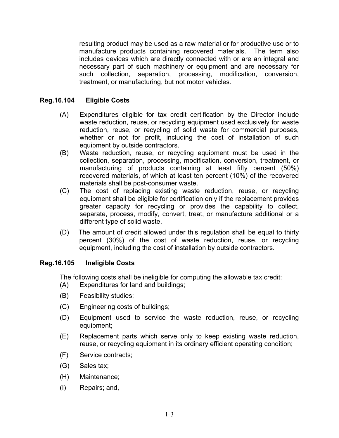resulting product may be used as a raw material or for productive use or to manufacture products containing recovered materials. The term also includes devices which are directly connected with or are an integral and necessary part of such machinery or equipment and are necessary for such collection, separation, processing, modification, conversion, treatment, or manufacturing, but not motor vehicles.

#### **Reg.16.104 Eligible Costs**

- (A) Expenditures eligible for tax credit certification by the Director include waste reduction, reuse, or recycling equipment used exclusively for waste reduction, reuse, or recycling of solid waste for commercial purposes, whether or not for profit, including the cost of installation of such equipment by outside contractors.
- (B) Waste reduction, reuse, or recycling equipment must be used in the collection, separation, processing, modification, conversion, treatment, or manufacturing of products containing at least fifty percent (50%) recovered materials, of which at least ten percent (10%) of the recovered materials shall be post-consumer waste.
- (C) The cost of replacing existing waste reduction, reuse, or recycling equipment shall be eligible for certification only if the replacement provides greater capacity for recycling or provides the capability to collect, separate, process, modify, convert, treat, or manufacture additional or a different type of solid waste.
- (D) The amount of credit allowed under this regulation shall be equal to thirty percent (30%) of the cost of waste reduction, reuse, or recycling equipment, including the cost of installation by outside contractors.

#### **Reg.16.105 Ineligible Costs**

The following costs shall be ineligible for computing the allowable tax credit:

- (A) Expenditures for land and buildings;
- (B) Feasibility studies;
- (C) Engineering costs of buildings;
- (D) Equipment used to service the waste reduction, reuse, or recycling equipment;
- (E) Replacement parts which serve only to keep existing waste reduction, reuse, or recycling equipment in its ordinary efficient operating condition;
- (F) Service contracts;
- (G) Sales tax;
- (H) Maintenance;
- (I) Repairs; and,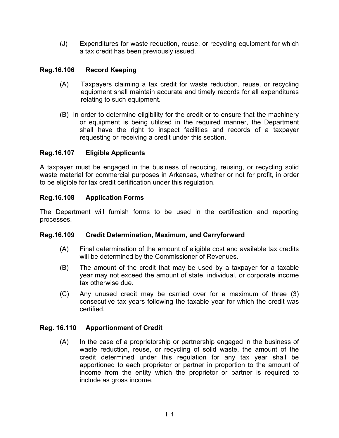(J) Expenditures for waste reduction, reuse, or recycling equipment for which a tax credit has been previously issued.

#### **Reg.16.106 Record Keeping**

- (A) Taxpayers claiming a tax credit for waste reduction, reuse, or recycling equipment shall maintain accurate and timely records for all expenditures relating to such equipment.
- (B) In order to determine eligibility for the credit or to ensure that the machinery or equipment is being utilized in the required manner, the Department shall have the right to inspect facilities and records of a taxpayer requesting or receiving a credit under this section.

#### **Reg.16.107 Eligible Applicants**

A taxpayer must be engaged in the business of reducing, reusing, or recycling solid waste material for commercial purposes in Arkansas, whether or not for profit, in order to be eligible for tax credit certification under this regulation.

#### **Reg.16.108 Application Forms**

The Department will furnish forms to be used in the certification and reporting processes.

#### **Reg.16.109 Credit Determination, Maximum, and Carryforward**

- (A) Final determination of the amount of eligible cost and available tax credits will be determined by the Commissioner of Revenues.
- (B) The amount of the credit that may be used by a taxpayer for a taxable year may not exceed the amount of state, individual, or corporate income tax otherwise due.
- (C) Any unused credit may be carried over for a maximum of three (3) consecutive tax years following the taxable year for which the credit was certified.

#### **Reg. 16.110 Apportionment of Credit**

(A) In the case of a proprietorship or partnership engaged in the business of waste reduction, reuse, or recycling of solid waste, the amount of the credit determined under this regulation for any tax year shall be apportioned to each proprietor or partner in proportion to the amount of income from the entity which the proprietor or partner is required to include as gross income.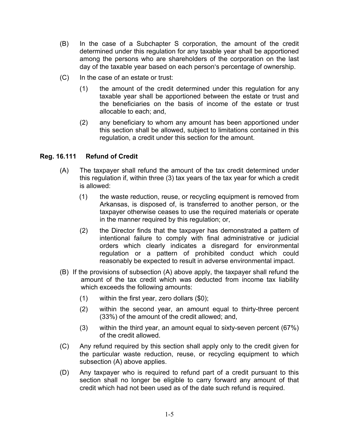- (B) In the case of a Subchapter S corporation, the amount of the credit determined under this regulation for any taxable year shall be apportioned among the persons who are shareholders of the corporation on the last day of the taxable year based on each person's percentage of ownership.
- (C) In the case of an estate or trust:
	- (1) the amount of the credit determined under this regulation for any taxable year shall be apportioned between the estate or trust and the beneficiaries on the basis of income of the estate or trust allocable to each; and,
	- (2) any beneficiary to whom any amount has been apportioned under this section shall be allowed, subject to limitations contained in this regulation, a credit under this section for the amount.

#### **Reg. 16.111 Refund of Credit**

- (A) The taxpayer shall refund the amount of the tax credit determined under this regulation if, within three (3) tax years of the tax year for which a credit is allowed:
	- (1) the waste reduction, reuse, or recycling equipment is removed from Arkansas, is disposed of, is transferred to another person, or the taxpayer otherwise ceases to use the required materials or operate in the manner required by this regulation; or,
	- (2) the Director finds that the taxpayer has demonstrated a pattern of intentional failure to comply with final administrative or judicial orders which clearly indicates a disregard for environmental regulation or a pattern of prohibited conduct which could reasonably be expected to result in adverse environmental impact.
- (B) If the provisions of subsection (A) above apply, the taxpayer shall refund the amount of the tax credit which was deducted from income tax liability which exceeds the following amounts:
	- (1) within the first year, zero dollars (\$0);
	- (2) within the second year, an amount equal to thirty-three percent (33%) of the amount of the credit allowed; and,
	- (3) within the third year, an amount equal to sixty-seven percent (67%) of the credit allowed.
- (C) Any refund required by this section shall apply only to the credit given for the particular waste reduction, reuse, or recycling equipment to which subsection (A) above applies.
- (D) Any taxpayer who is required to refund part of a credit pursuant to this section shall no longer be eligible to carry forward any amount of that credit which had not been used as of the date such refund is required.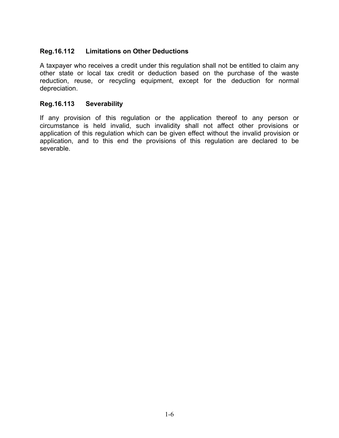#### **Reg.16.112 Limitations on Other Deductions**

A taxpayer who receives a credit under this regulation shall not be entitled to claim any other state or local tax credit or deduction based on the purchase of the waste reduction, reuse, or recycling equipment, except for the deduction for normal depreciation.

#### **Reg.16.113 Severability**

If any provision of this regulation or the application thereof to any person or circumstance is held invalid, such invalidity shall not affect other provisions or application of this regulation which can be given effect without the invalid provision or application, and to this end the provisions of this regulation are declared to be severable.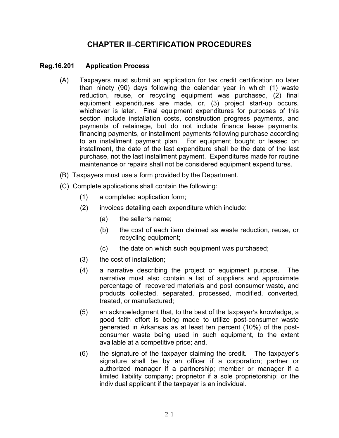#### **CHAPTER II-CERTIFICATION PROCEDURES**

#### **Reg.16.201 Application Process**

- (A) Taxpayers must submit an application for tax credit certification no later than ninety (90) days following the calendar year in which (1) waste reduction, reuse, or recycling equipment was purchased, (2) final equipment expenditures are made, or, (3) project start-up occurs, whichever is later. Final equipment expenditures for purposes of this section include installation costs, construction progress payments, and payments of retainage, but do not include finance lease payments, financing payments, or installment payments following purchase according to an installment payment plan. For equipment bought or leased on installment, the date of the last expenditure shall be the date of the last purchase, not the last installment payment. Expenditures made for routine maintenance or repairs shall not be considered equipment expenditures.
- (B) Taxpayers must use a form provided by the Department.
- (C) Complete applications shall contain the following:
	- (1) a completed application form;
	- (2) invoices detailing each expenditure which include:
		- $(a)$  the seller's name;
		- (b) the cost of each item claimed as waste reduction, reuse, or recycling equipment;
		- (c) the date on which such equipment was purchased;
	- (3) the cost of installation;
	- (4) a narrative describing the project or equipment purpose. The narrative must also contain a list of suppliers and approximate percentage of recovered materials and post consumer waste, and products collected, separated, processed, modified, converted, treated, or manufactured;
	- $(5)$  an acknowledgment that, to the best of the taxpayer's knowledge, a good faith effort is being made to utilize post-consumer waste generated in Arkansas as at least ten percent (10%) of the postconsumer waste being used in such equipment, to the extent available at a competitive price; and,
	- (6) the signature of the taxpayer claiming the credit. The taxpayer's signature shall be by an officer if a corporation; partner or authorized manager if a partnership; member or manager if a limited liability company; proprietor if a sole proprietorship; or the individual applicant if the taxpayer is an individual.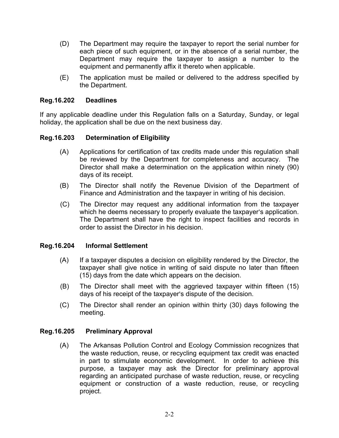- (D) The Department may require the taxpayer to report the serial number for each piece of such equipment, or in the absence of a serial number, the Department may require the taxpayer to assign a number to the equipment and permanently affix it thereto when applicable.
- (E) The application must be mailed or delivered to the address specified by the Department.

#### **Reg.16.202 Deadlines**

If any applicable deadline under this Regulation falls on a Saturday, Sunday, or legal holiday, the application shall be due on the next business day.

#### **Reg.16.203 Determination of Eligibility**

- (A) Applications for certification of tax credits made under this regulation shall be reviewed by the Department for completeness and accuracy. The Director shall make a determination on the application within ninety (90) days of its receipt.
- (B) The Director shall notify the Revenue Division of the Department of Finance and Administration and the taxpayer in writing of his decision.
- (C) The Director may request any additional information from the taxpayer which he deems necessary to properly evaluate the taxpayer's application. The Department shall have the right to inspect facilities and records in order to assist the Director in his decision.

#### **Reg.16.204 Informal Settlement**

- (A) If a taxpayer disputes a decision on eligibility rendered by the Director, the taxpayer shall give notice in writing of said dispute no later than fifteen (15) days from the date which appears on the decision.
- (B) The Director shall meet with the aggrieved taxpayer within fifteen (15) days of his receipt of the taxpayer's dispute of the decision.
- (C) The Director shall render an opinion within thirty (30) days following the meeting.

#### **Reg.16.205 Preliminary Approval**

(A) The Arkansas Pollution Control and Ecology Commission recognizes that the waste reduction, reuse, or recycling equipment tax credit was enacted in part to stimulate economic development. In order to achieve this purpose, a taxpayer may ask the Director for preliminary approval regarding an anticipated purchase of waste reduction, reuse, or recycling equipment or construction of a waste reduction, reuse, or recycling project.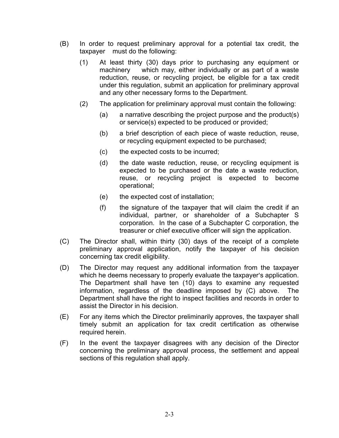- (B) In order to request preliminary approval for a potential tax credit, the taxpayer must do the following:
	- (1) At least thirty (30) days prior to purchasing any equipment or machinery which may, either individually or as part of a waste reduction, reuse, or recycling project, be eligible for a tax credit under this regulation, submit an application for preliminary approval and any other necessary forms to the Department.
	- (2) The application for preliminary approval must contain the following:
		- (a) a narrative describing the project purpose and the product(s) or service(s) expected to be produced or provided;
		- (b) a brief description of each piece of waste reduction, reuse, or recycling equipment expected to be purchased;
		- (c) the expected costs to be incurred;
		- (d) the date waste reduction, reuse, or recycling equipment is expected to be purchased or the date a waste reduction, reuse, or recycling project is expected to become operational;
		- (e) the expected cost of installation;
		- (f) the signature of the taxpayer that will claim the credit if an individual, partner, or shareholder of a Subchapter S corporation. In the case of a Subchapter C corporation, the treasurer or chief executive officer will sign the application.
- (C) The Director shall, within thirty (30) days of the receipt of a complete preliminary approval application, notify the taxpayer of his decision concerning tax credit eligibility.
- (D) The Director may request any additional information from the taxpayer which he deems necessary to properly evaluate the taxpayer's application. The Department shall have ten (10) days to examine any requested information, regardless of the deadline imposed by (C) above. The Department shall have the right to inspect facilities and records in order to assist the Director in his decision.
- (E) For any items which the Director preliminarily approves, the taxpayer shall timely submit an application for tax credit certification as otherwise required herein.
- (F) In the event the taxpayer disagrees with any decision of the Director concerning the preliminary approval process, the settlement and appeal sections of this regulation shall apply.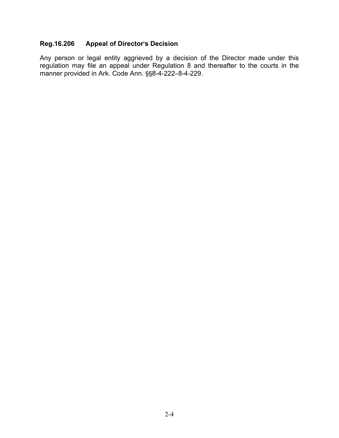#### **Reg.16.206 Appeal of Director**=**s Decision**

Any person or legal entity aggrieved by a decision of the Director made under this regulation may file an appeal under Regulation 8 and thereafter to the courts in the manner provided in Ark. Code Ann. §§8-4-222-8-4-229.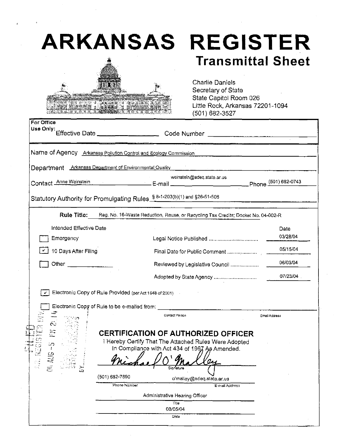# **ARKANSAS REGISTER**



# **Transmittal Sheet**

**Charlie Daniels** Secretary of State State Capitol Room 026 Little Rock, Arkansas 72201-1094 (501) 682-3527

| Name of Agency Arkansas Pollution Control and Ecology Commission<br><b>Arkansas Department of Environmental Quality</b><br>Department<br>weinstein@adeg.state.ar.us<br>Contact Anne Weinstein <b>Contact Anne Weinstein Contact Anne Metal Contact Anne Metal Contact Anne Weinstein</b><br>Statutory Authority for Promulgating Rules \$8-1-203(b)(1) and \$26-51-506<br><b>Rule Title:</b><br>Reg. No. 16-Waste Reduction, Reuse, or Recycling Tax Credits; Docket No. 04-002-R<br>Intended Effective Date<br>Date<br>Emergency<br>10 Days After Filing<br>Reviewed by Legislative Council<br>Adopted by State Agency<br>Electronic Copy of Rule Provided (per Act 1648 of 2001)<br>Contact Person<br>Email Address<br><b>CERTIFICATION OF AUTHORIZED OFFICER</b><br>I Hereby Certify That The Attached Rules Were Adopted<br>50<br>In Compliance with Act 434 of 1967 As Amended.<br>Ş<br>Sionature<br>د،<br>(501) 682-7890<br>o'malley@adeq.state.ar.us<br>Phone Number<br>E-mail Address<br>Administrative Hearing Officer<br>Title<br>08/05/04 | For Office<br>Use Only: |  |          |  |  |
|------------------------------------------------------------------------------------------------------------------------------------------------------------------------------------------------------------------------------------------------------------------------------------------------------------------------------------------------------------------------------------------------------------------------------------------------------------------------------------------------------------------------------------------------------------------------------------------------------------------------------------------------------------------------------------------------------------------------------------------------------------------------------------------------------------------------------------------------------------------------------------------------------------------------------------------------------------------------------------------------------------------------------------------------------|-------------------------|--|----------|--|--|
|                                                                                                                                                                                                                                                                                                                                                                                                                                                                                                                                                                                                                                                                                                                                                                                                                                                                                                                                                                                                                                                      |                         |  |          |  |  |
|                                                                                                                                                                                                                                                                                                                                                                                                                                                                                                                                                                                                                                                                                                                                                                                                                                                                                                                                                                                                                                                      |                         |  |          |  |  |
|                                                                                                                                                                                                                                                                                                                                                                                                                                                                                                                                                                                                                                                                                                                                                                                                                                                                                                                                                                                                                                                      |                         |  |          |  |  |
|                                                                                                                                                                                                                                                                                                                                                                                                                                                                                                                                                                                                                                                                                                                                                                                                                                                                                                                                                                                                                                                      |                         |  |          |  |  |
|                                                                                                                                                                                                                                                                                                                                                                                                                                                                                                                                                                                                                                                                                                                                                                                                                                                                                                                                                                                                                                                      |                         |  |          |  |  |
|                                                                                                                                                                                                                                                                                                                                                                                                                                                                                                                                                                                                                                                                                                                                                                                                                                                                                                                                                                                                                                                      |                         |  |          |  |  |
|                                                                                                                                                                                                                                                                                                                                                                                                                                                                                                                                                                                                                                                                                                                                                                                                                                                                                                                                                                                                                                                      |                         |  | 03/28/04 |  |  |
|                                                                                                                                                                                                                                                                                                                                                                                                                                                                                                                                                                                                                                                                                                                                                                                                                                                                                                                                                                                                                                                      |                         |  | 05/15/04 |  |  |
|                                                                                                                                                                                                                                                                                                                                                                                                                                                                                                                                                                                                                                                                                                                                                                                                                                                                                                                                                                                                                                                      |                         |  | 06/03/04 |  |  |
|                                                                                                                                                                                                                                                                                                                                                                                                                                                                                                                                                                                                                                                                                                                                                                                                                                                                                                                                                                                                                                                      |                         |  | 07/23/04 |  |  |
|                                                                                                                                                                                                                                                                                                                                                                                                                                                                                                                                                                                                                                                                                                                                                                                                                                                                                                                                                                                                                                                      |                         |  |          |  |  |
|                                                                                                                                                                                                                                                                                                                                                                                                                                                                                                                                                                                                                                                                                                                                                                                                                                                                                                                                                                                                                                                      |                         |  |          |  |  |
|                                                                                                                                                                                                                                                                                                                                                                                                                                                                                                                                                                                                                                                                                                                                                                                                                                                                                                                                                                                                                                                      |                         |  |          |  |  |
|                                                                                                                                                                                                                                                                                                                                                                                                                                                                                                                                                                                                                                                                                                                                                                                                                                                                                                                                                                                                                                                      |                         |  |          |  |  |
|                                                                                                                                                                                                                                                                                                                                                                                                                                                                                                                                                                                                                                                                                                                                                                                                                                                                                                                                                                                                                                                      |                         |  |          |  |  |
|                                                                                                                                                                                                                                                                                                                                                                                                                                                                                                                                                                                                                                                                                                                                                                                                                                                                                                                                                                                                                                                      |                         |  |          |  |  |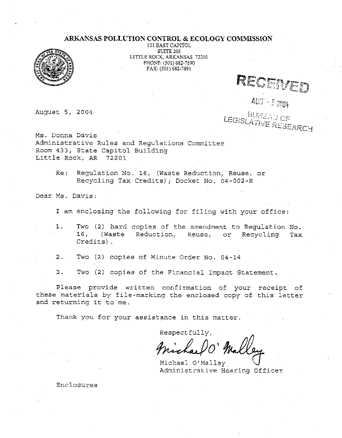#### ARKANSAS POLLUTION CONTROL & ECOLOGY COMMISSION



101 EAST CAPITOL **SUITE 205** LITTLE ROCK, ARKANSAS 72201 PHONE: (501) 682-7890 FAX: (501) 682-7891

August 5, 2004

RECENED

AUG<sup>12</sup> 5 2004

**BUREAU OF** LEGISLATIVE RESEARCH

Ms. Donna Davis Administrative Rules and Regulations Committee Room 433, State Capitol Building Little Rock, AR 72201

> Re: Regulation No. 16, (Waste Reduction, Reuse, or Recycling Tax Credits); Docket No. 04-002-R

Dear Ms. Davis:

I am enclosing the following for filing with your office:

- 1. Two (2) hard copies of the amendment to Regulation No. 16, (Waste Reduction, Reuse, or Recycling **Tax** Credits).
- Two (2) copies of Minute Order No. 04-14  $2.$
- 3. Two (2) copies of the Financial Impact Statement.

Please provide written confirmation of your receipt of these materials by file-marking the enclosed copy of this letter and returning it to me.

Thank you for your assistance in this matter.

Respectfully,

Michael O'Malley Administrative Hearing Officer

Enclosures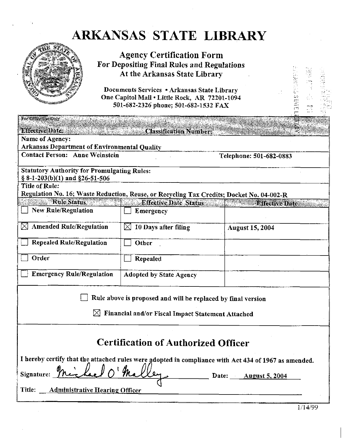## ARKANSAS STATE LIBRARY



**Agency Certification Form** For Depositing Final Rules and Regulations At the Arkansas State Library

Documents Services . Arkansas State Library One Capitol Mall . Little Rock, AR 72201-1094 501-682-2326 phone; 501-682-1532 FAX

| For Office Use Only                                                                                               |                                |                         |  |  |  |  |
|-------------------------------------------------------------------------------------------------------------------|--------------------------------|-------------------------|--|--|--|--|
| Effective Date: Washington Classification Number:                                                                 |                                |                         |  |  |  |  |
| Name of Agency:<br><b>Arkansas Department of Environmental Quality</b>                                            |                                |                         |  |  |  |  |
| <b>Contact Person: Anne Weinstein</b>                                                                             |                                | Telephone: 501-682-0883 |  |  |  |  |
| <b>Statutory Authority for Promulgating Rules:</b><br>$\S 8-1-203(b)(1)$ and $\S 26-51-506$                       |                                |                         |  |  |  |  |
| <b>Title of Rule:</b>                                                                                             |                                |                         |  |  |  |  |
| Regulation No. 16; Waste Reduction, Reuse, or Recycling Tax Credits; Docket No. 04-002-R<br><b>Example Status</b> | <b>Effective Date Status</b>   | <b>Effective Date</b>   |  |  |  |  |
| <b>New Rule/Regulation</b>                                                                                        | Emergency                      |                         |  |  |  |  |
| <b>Amended Rule/Regulation</b>                                                                                    | 10 Days after filing<br>⊠      | <b>August 15, 2004</b>  |  |  |  |  |
| <b>Repealed Rule/Regulation</b>                                                                                   | Other                          |                         |  |  |  |  |
| Order                                                                                                             | Repealed                       |                         |  |  |  |  |
| <b>Emergency Rule/Regulation</b>                                                                                  | <b>Adopted by State Agency</b> |                         |  |  |  |  |
| Rule above is proposed and will be replaced by final version                                                      |                                |                         |  |  |  |  |
| Financial and/or Fiscal Impact Statement Attached                                                                 |                                |                         |  |  |  |  |
| <b>Certification of Authorized Officer</b>                                                                        |                                |                         |  |  |  |  |
| I hereby certify that the attached rules were adopted in compliance with Act 434 of 1967 as amended.              |                                |                         |  |  |  |  |
| Signature:<br>Date: August 5, 2004                                                                                |                                |                         |  |  |  |  |
| <b>Administrative Hearing Officer</b><br>Title:                                                                   |                                |                         |  |  |  |  |

**BINES SENTE**